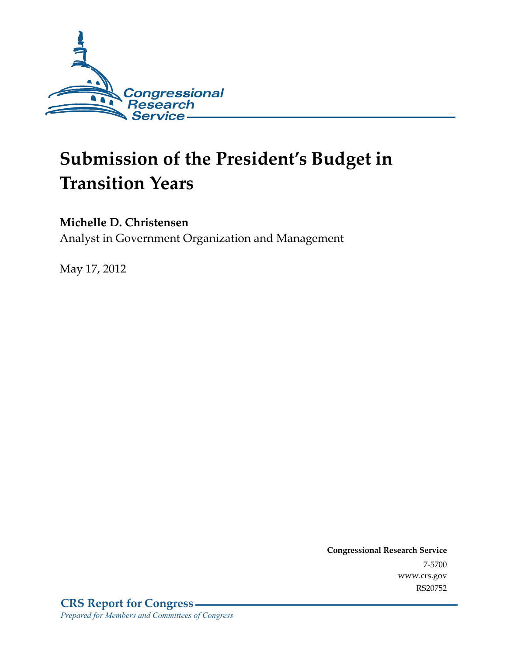

# **Submission of the President's Budget in Transition Years**

## **Michelle D. Christensen**

Analyst in Government Organization and Management

May 17, 2012

**Congressional Research Service**  7-5700 www.crs.gov RS20752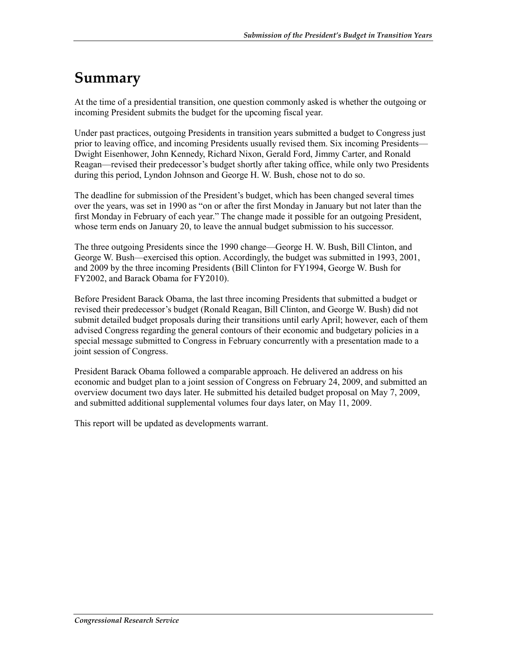## **Summary**

At the time of a presidential transition, one question commonly asked is whether the outgoing or incoming President submits the budget for the upcoming fiscal year.

Under past practices, outgoing Presidents in transition years submitted a budget to Congress just prior to leaving office, and incoming Presidents usually revised them. Six incoming Presidents— Dwight Eisenhower, John Kennedy, Richard Nixon, Gerald Ford, Jimmy Carter, and Ronald Reagan—revised their predecessor's budget shortly after taking office, while only two Presidents during this period, Lyndon Johnson and George H. W. Bush, chose not to do so.

The deadline for submission of the President's budget, which has been changed several times over the years, was set in 1990 as "on or after the first Monday in January but not later than the first Monday in February of each year." The change made it possible for an outgoing President, whose term ends on January 20, to leave the annual budget submission to his successor.

The three outgoing Presidents since the 1990 change—George H. W. Bush, Bill Clinton, and George W. Bush—exercised this option. Accordingly, the budget was submitted in 1993, 2001, and 2009 by the three incoming Presidents (Bill Clinton for FY1994, George W. Bush for FY2002, and Barack Obama for FY2010).

Before President Barack Obama, the last three incoming Presidents that submitted a budget or revised their predecessor's budget (Ronald Reagan, Bill Clinton, and George W. Bush) did not submit detailed budget proposals during their transitions until early April; however, each of them advised Congress regarding the general contours of their economic and budgetary policies in a special message submitted to Congress in February concurrently with a presentation made to a joint session of Congress.

President Barack Obama followed a comparable approach. He delivered an address on his economic and budget plan to a joint session of Congress on February 24, 2009, and submitted an overview document two days later. He submitted his detailed budget proposal on May 7, 2009, and submitted additional supplemental volumes four days later, on May 11, 2009.

This report will be updated as developments warrant.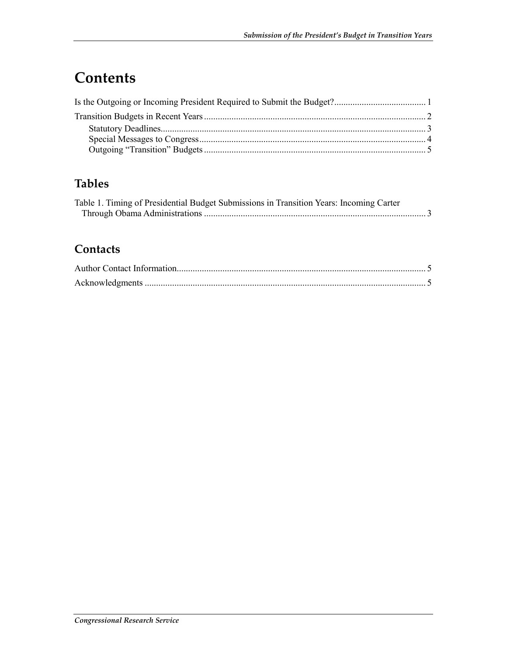## **Contents**

## **Tables**

| Table 1. Timing of Presidential Budget Submissions in Transition Years: Incoming Carter |  |
|-----------------------------------------------------------------------------------------|--|
|                                                                                         |  |

## **Contacts**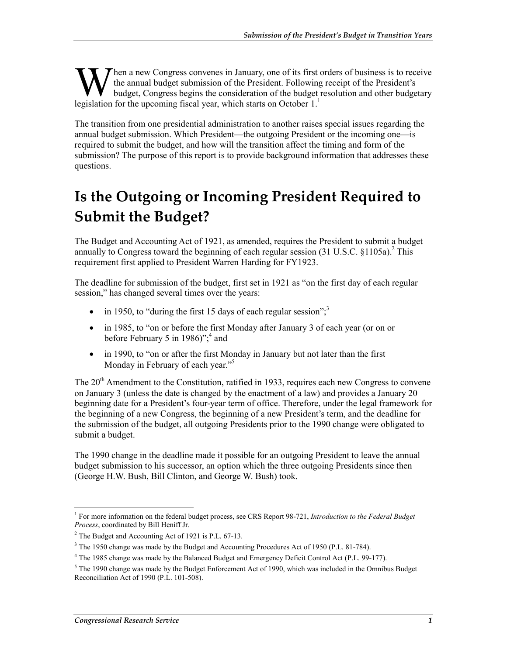hen a new Congress convenes in January, one of its first orders of business is to receive the annual budget submission of the President. Following receipt of the President's budget, Congress begins the consideration of the budget resolution and other budgetary **Legislation for the upcoming fiscal year, which starts on October 1.**<sup>1</sup> legislation for the upcoming fiscal year, which starts on October 1.<sup>1</sup>

The transition from one presidential administration to another raises special issues regarding the annual budget submission. Which President—the outgoing President or the incoming one—is required to submit the budget, and how will the transition affect the timing and form of the submission? The purpose of this report is to provide background information that addresses these questions.

## **Is the Outgoing or Incoming President Required to Submit the Budget?**

The Budget and Accounting Act of 1921, as amended, requires the President to submit a budget annually to Congress toward the beginning of each regular session  $(31 \text{ U.S.C. } §1105a)$ .<sup>2</sup> This requirement first applied to President Warren Harding for FY1923.

The deadline for submission of the budget, first set in 1921 as "on the first day of each regular session," has changed several times over the years:

- in 1950, to "during the first 15 days of each regular session"; $3$
- in 1985, to "on or before the first Monday after January 3 of each year (or on or before February 5 in 1986)";<sup>4</sup> and
- in 1990, to "on or after the first Monday in January but not later than the first Monday in February of each year."<sup>5</sup>

The 20<sup>th</sup> Amendment to the Constitution, ratified in 1933, requires each new Congress to convene on January 3 (unless the date is changed by the enactment of a law) and provides a January 20 beginning date for a President's four-year term of office. Therefore, under the legal framework for the beginning of a new Congress, the beginning of a new President's term, and the deadline for the submission of the budget, all outgoing Presidents prior to the 1990 change were obligated to submit a budget.

The 1990 change in the deadline made it possible for an outgoing President to leave the annual budget submission to his successor, an option which the three outgoing Presidents since then (George H.W. Bush, Bill Clinton, and George W. Bush) took.

<sup>1</sup> <sup>1</sup> For more information on the federal budget process, see CRS Report 98-721, *Introduction to the Federal Budget Process*, coordinated by Bill Heniff Jr.

<sup>2</sup> The Budget and Accounting Act of 1921 is P.L. 67-13.

 $3$  The 1950 change was made by the Budget and Accounting Procedures Act of 1950 (P.L. 81-784).

<sup>&</sup>lt;sup>4</sup> The 1985 change was made by the Balanced Budget and Emergency Deficit Control Act (P.L. 99-177).

 $<sup>5</sup>$  The 1990 change was made by the Budget Enforcement Act of 1990, which was included in the Omnibus Budget</sup> Reconciliation Act of 1990 (P.L. 101-508).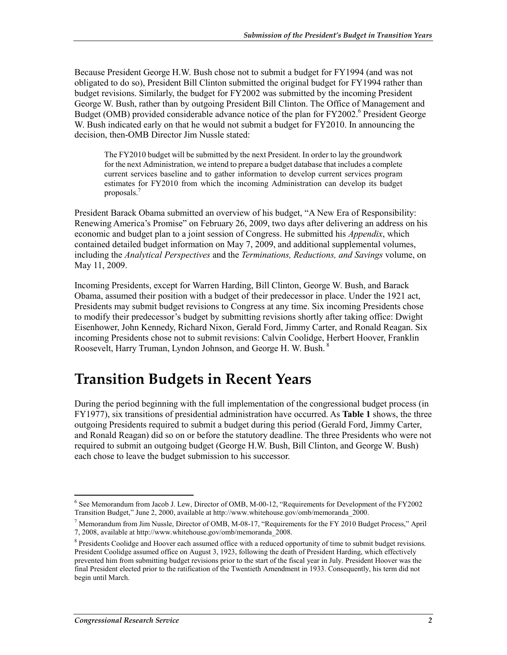Because President George H.W. Bush chose not to submit a budget for FY1994 (and was not obligated to do so), President Bill Clinton submitted the original budget for FY1994 rather than budget revisions. Similarly, the budget for FY2002 was submitted by the incoming President George W. Bush, rather than by outgoing President Bill Clinton. The Office of Management and Budget (OMB) provided considerable advance notice of the plan for FY2002.<sup>6</sup> President George W. Bush indicated early on that he would not submit a budget for FY2010. In announcing the decision, then-OMB Director Jim Nussle stated:

The FY2010 budget will be submitted by the next President. In order to lay the groundwork for the next Administration, we intend to prepare a budget database that includes a complete current services baseline and to gather information to develop current services program estimates for FY2010 from which the incoming Administration can develop its budget proposals.<sup>7</sup>

President Barack Obama submitted an overview of his budget, "A New Era of Responsibility: Renewing America's Promise" on February 26, 2009, two days after delivering an address on his economic and budget plan to a joint session of Congress. He submitted his *Appendix*, which contained detailed budget information on May 7, 2009, and additional supplemental volumes, including the *Analytical Perspectives* and the *Terminations, Reductions, and Savings* volume, on May 11, 2009.

Incoming Presidents, except for Warren Harding, Bill Clinton, George W. Bush, and Barack Obama, assumed their position with a budget of their predecessor in place. Under the 1921 act, Presidents may submit budget revisions to Congress at any time. Six incoming Presidents chose to modify their predecessor's budget by submitting revisions shortly after taking office: Dwight Eisenhower, John Kennedy, Richard Nixon, Gerald Ford, Jimmy Carter, and Ronald Reagan. Six incoming Presidents chose not to submit revisions: Calvin Coolidge, Herbert Hoover, Franklin Roosevelt, Harry Truman, Lyndon Johnson, and George H. W. Bush.<sup>8</sup>

## **Transition Budgets in Recent Years**

During the period beginning with the full implementation of the congressional budget process (in FY1977), six transitions of presidential administration have occurred. As **Table 1** shows, the three outgoing Presidents required to submit a budget during this period (Gerald Ford, Jimmy Carter, and Ronald Reagan) did so on or before the statutory deadline. The three Presidents who were not required to submit an outgoing budget (George H.W. Bush, Bill Clinton, and George W. Bush) each chose to leave the budget submission to his successor.

1

<sup>&</sup>lt;sup>6</sup> See Memorandum from Jacob J. Lew, Director of OMB, M-00-12, "Requirements for Development of the FY2002 Transition Budget," June 2, 2000, available at http://www.whitehouse.gov/omb/memoranda\_2000.

<sup>&</sup>lt;sup>7</sup> Memorandum from Jim Nussle, Director of OMB, M-08-17, "Requirements for the FY 2010 Budget Process," April 7, 2008, available at http://www.whitehouse.gov/omb/memoranda\_2008.

<sup>&</sup>lt;sup>8</sup> Presidents Coolidge and Hoover each assumed office with a reduced opportunity of time to submit budget revisions. President Coolidge assumed office on August 3, 1923, following the death of President Harding, which effectively prevented him from submitting budget revisions prior to the start of the fiscal year in July. President Hoover was the final President elected prior to the ratification of the Twentieth Amendment in 1933. Consequently, his term did not begin until March.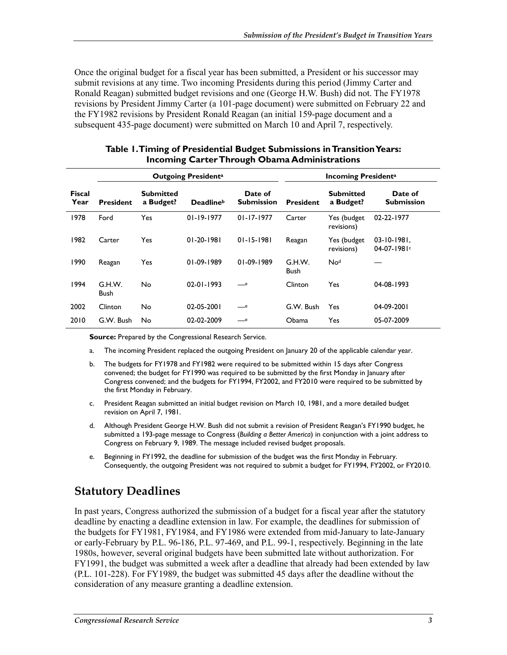Once the original budget for a fiscal year has been submitted, a President or his successor may submit revisions at any time. Two incoming Presidents during this period (Jimmy Carter and Ronald Reagan) submitted budget revisions and one (George H.W. Bush) did not. The FY1978 revisions by President Jimmy Carter (a 101-page document) were submitted on February 22 and the FY1982 revisions by President Ronald Reagan (an initial 159-page document and a subsequent 435-page document) were submitted on March 10 and April 7, respectively.

|                       | <b>Outgoing Presidenta</b> |                               |                  |                              | <b>Incoming Presidenta</b> |                               |                                   |
|-----------------------|----------------------------|-------------------------------|------------------|------------------------------|----------------------------|-------------------------------|-----------------------------------|
| <b>Fiscal</b><br>Year | <b>President</b>           | <b>Submitted</b><br>a Budget? | <b>Deadlineb</b> | Date of<br><b>Submission</b> | <b>President</b>           | <b>Submitted</b><br>a Budget? | Date of<br><b>Submission</b>      |
| 1978                  | Ford                       | Yes                           | $01 - 19 - 1977$ | $01 - 17 - 1977$             | Carter                     | Yes (budget<br>revisions)     | 02-22-1977                        |
| 1982                  | Carter                     | Yes                           | 01-20-1981       | $01 - 15 - 1981$             | Reagan                     | Yes (budget<br>revisions)     | $03 - 10 - 1981$ ,<br>$04-07-198$ |
| 1990                  | Reagan                     | Yes                           | 01-09-1989       | 01-09-1989                   | G.H.W.<br><b>Bush</b>      | No <sup>d</sup>               |                                   |
| 1994                  | G.H.W.<br>Bush             | No                            | 02-01-1993       | $-$ e                        | Clinton                    | Yes                           | 04-08-1993                        |
| 2002                  | Clinton                    | No                            | $02 - 05 - 2001$ | $-$ e                        | G.W. Bush                  | Yes                           | 04-09-2001                        |
| 2010                  | G.W. Bush                  | No                            | 02-02-2009       | _e                           | Obama                      | Yes                           | 05-07-2009                        |

| Table 1. Timing of Presidential Budget Submissions in Transition Years: |
|-------------------------------------------------------------------------|
| <b>Incoming Carter Through Obama Administrations</b>                    |

**Source:** Prepared by the Congressional Research Service.

- a. The incoming President replaced the outgoing President on January 20 of the applicable calendar year.
- b. The budgets for FY1978 and FY1982 were required to be submitted within 15 days after Congress convened; the budget for FY1990 was required to be submitted by the first Monday in January after Congress convened; and the budgets for FY1994, FY2002, and FY2010 were required to be submitted by the first Monday in February.
- c. President Reagan submitted an initial budget revision on March 10, 1981, and a more detailed budget revision on April 7, 1981.
- d. Although President George H.W. Bush did not submit a revision of President Reagan's FY1990 budget, he submitted a 193-page message to Congress (*Building a Better America*) in conjunction with a joint address to Congress on February 9, 1989. The message included revised budget proposals.
- e. Beginning in FY1992, the deadline for submission of the budget was the first Monday in February. Consequently, the outgoing President was not required to submit a budget for FY1994, FY2002, or FY2010.

#### **Statutory Deadlines**

In past years, Congress authorized the submission of a budget for a fiscal year after the statutory deadline by enacting a deadline extension in law. For example, the deadlines for submission of the budgets for FY1981, FY1984, and FY1986 were extended from mid-January to late-January or early-February by P.L. 96-186, P.L. 97-469, and P.L. 99-1, respectively. Beginning in the late 1980s, however, several original budgets have been submitted late without authorization. For FY1991, the budget was submitted a week after a deadline that already had been extended by law (P.L. 101-228). For FY1989, the budget was submitted 45 days after the deadline without the consideration of any measure granting a deadline extension.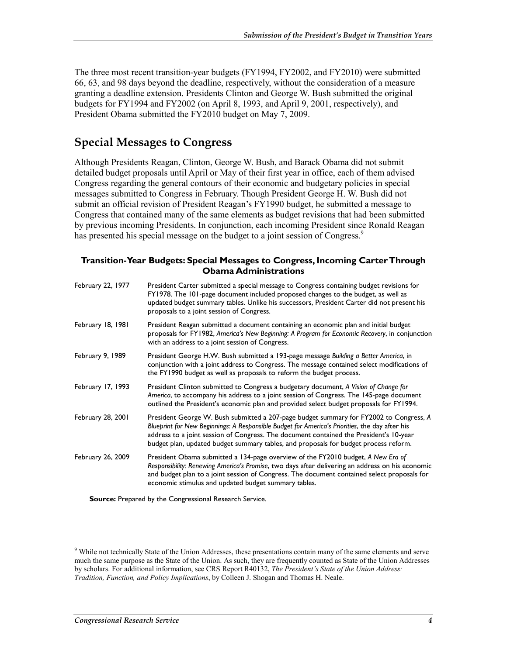The three most recent transition-year budgets (FY1994, FY2002, and FY2010) were submitted 66, 63, and 98 days beyond the deadline, respectively, without the consideration of a measure granting a deadline extension. Presidents Clinton and George W. Bush submitted the original budgets for FY1994 and FY2002 (on April 8, 1993, and April 9, 2001, respectively), and President Obama submitted the FY2010 budget on May 7, 2009.

#### **Special Messages to Congress**

Although Presidents Reagan, Clinton, George W. Bush, and Barack Obama did not submit detailed budget proposals until April or May of their first year in office, each of them advised Congress regarding the general contours of their economic and budgetary policies in special messages submitted to Congress in February. Though President George H. W. Bush did not submit an official revision of President Reagan's FY1990 budget, he submitted a message to Congress that contained many of the same elements as budget revisions that had been submitted by previous incoming Presidents. In conjunction, each incoming President since Ronald Reagan has presented his special message on the budget to a joint session of Congress.<sup>9</sup>

#### **Transition-Year Budgets: Special Messages to Congress, Incoming Carter Through Obama Administrations**

| February 22, 1977 | President Carter submitted a special message to Congress containing budget revisions for<br>FY1978. The 101-page document included proposed changes to the budget, as well as<br>updated budget summary tables. Unlike his successors, President Carter did not present his<br>proposals to a joint session of Congress.                                                   |
|-------------------|----------------------------------------------------------------------------------------------------------------------------------------------------------------------------------------------------------------------------------------------------------------------------------------------------------------------------------------------------------------------------|
| February 18, 1981 | President Reagan submitted a document containing an economic plan and initial budget<br>proposals for FY1982, America's New Beginning: A Program for Economic Recovery, in conjunction<br>with an address to a joint session of Congress.                                                                                                                                  |
| February 9, 1989  | President George H.W. Bush submitted a 193-page message Building a Better America, in<br>conjunction with a joint address to Congress. The message contained select modifications of<br>the FY1990 budget as well as proposals to reform the budget process.                                                                                                               |
| February 17, 1993 | President Clinton submitted to Congress a budgetary document, A Vision of Change for<br>America, to accompany his address to a joint session of Congress. The 145-page document<br>outlined the President's economic plan and provided select budget proposals for FY1994.                                                                                                 |
| February 28, 2001 | President George W. Bush submitted a 207-page budget summary for FY2002 to Congress, A<br>Blueprint for New Beginnings: A Responsible Budget for America's Priorities, the day after his<br>address to a joint session of Congress. The document contained the President's 10-year<br>budget plan, updated budget summary tables, and proposals for budget process reform. |
| February 26, 2009 | President Obama submitted a 134-page overview of the FY2010 budget, A New Era of<br>Responsibility: Renewing America's Promise, two days after delivering an address on his economic<br>and budget plan to a joint session of Congress. The document contained select proposals for<br>economic stimulus and updated budget summary tables.                                |

**Source:** Prepared by the Congressional Research Service.

1

<sup>&</sup>lt;sup>9</sup> While not technically State of the Union Addresses, these presentations contain many of the same elements and serve much the same purpose as the State of the Union. As such, they are frequently counted as State of the Union Addresses by scholars. For additional information, see CRS Report R40132, *The President's State of the Union Address: Tradition, Function, and Policy Implications*, by Colleen J. Shogan and Thomas H. Neale.